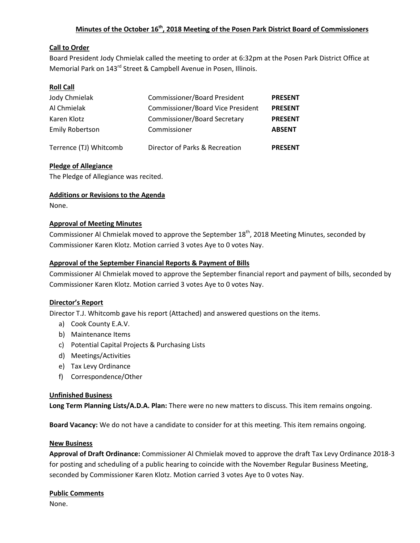## **Minutes of the October 16th, 2018 Meeting of the Posen Park District Board of Commissioners**

### **Call to Order**

Board President Jody Chmielak called the meeting to order at 6:32pm at the Posen Park District Office at Memorial Park on 143<sup>rd</sup> Street & Campbell Avenue in Posen, Illinois.

### **Roll Call**

| Jody Chmielak          | <b>Commissioner/Board President</b>      | <b>PRESENT</b> |
|------------------------|------------------------------------------|----------------|
| Al Chmielak            | <b>Commissioner/Board Vice President</b> | <b>PRESENT</b> |
| Karen Klotz            | <b>Commissioner/Board Secretary</b>      | <b>PRESENT</b> |
| <b>Emily Robertson</b> | Commissioner                             | <b>ABSENT</b>  |
| Terrence (TJ) Whitcomb | Director of Parks & Recreation           | <b>PRESENT</b> |

### **Pledge of Allegiance**

The Pledge of Allegiance was recited.

#### **Additions or Revisions to the Agenda**

None.

#### **Approval of Meeting Minutes**

Commissioner Al Chmielak moved to approve the September 18<sup>th</sup>, 2018 Meeting Minutes, seconded by Commissioner Karen Klotz. Motion carried 3 votes Aye to 0 votes Nay.

#### **Approval of the September Financial Reports & Payment of Bills**

Commissioner Al Chmielak moved to approve the September financial report and payment of bills, seconded by Commissioner Karen Klotz. Motion carried 3 votes Aye to 0 votes Nay.

#### **Director's Report**

Director T.J. Whitcomb gave his report (Attached) and answered questions on the items.

- a) Cook County E.A.V.
- b) Maintenance Items
- c) Potential Capital Projects & Purchasing Lists
- d) Meetings/Activities
- e) Tax Levy Ordinance
- f) Correspondence/Other

#### **Unfinished Business**

**Long Term Planning Lists/A.D.A. Plan:** There were no new matters to discuss. This item remains ongoing.

**Board Vacancy:** We do not have a candidate to consider for at this meeting. This item remains ongoing.

#### **New Business**

**Approval of Draft Ordinance:** Commissioner Al Chmielak moved to approve the draft Tax Levy Ordinance 2018-3 for posting and scheduling of a public hearing to coincide with the November Regular Business Meeting, seconded by Commissioner Karen Klotz. Motion carried 3 votes Aye to 0 votes Nay.

#### **Public Comments**

None.